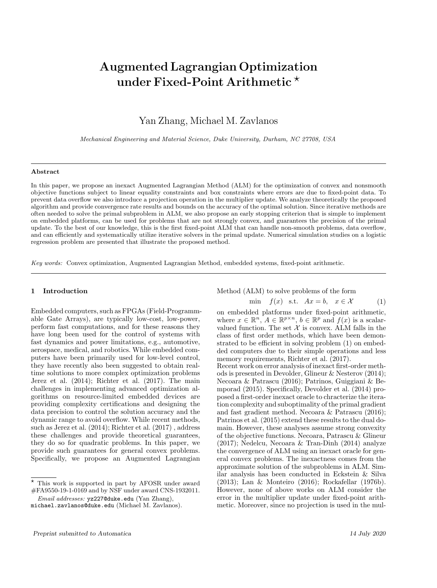# Augmented Lagrangian Optimization under Fixed-Point Arithmetic  $\star$

Yan Zhang, Michael M. Zavlanos

Mechanical Engineering and Material Science, Duke University, Durham, NC 27708, USA

#### Abstract

In this paper, we propose an inexact Augmented Lagrangian Method (ALM) for the optimization of convex and nonsmooth objective functions subject to linear equality constraints and box constraints where errors are due to fixed-point data. To prevent data overflow we also introduce a projection operation in the multiplier update. We analyze theoretically the proposed algorithm and provide convergence rate results and bounds on the accuracy of the optimal solution. Since iterative methods are often needed to solve the primal subproblem in ALM, we also propose an early stopping criterion that is simple to implement on embedded platforms, can be used for problems that are not strongly convex, and guarantees the precision of the primal update. To the best of our knowledge, this is the first fixed-point ALM that can handle non-smooth problems, data overflow, and can efficiently and systematically utilize iterative solvers in the primal update. Numerical simulation studies on a logistic regression problem are presented that illustrate the proposed method.

Key words: Convex optimization, Augmented Lagrangian Method, embedded systems, fixed-point arithmetic.

### 1 Introduction

Embedded computers, such as FPGAs (Field-Programmable Gate Arrays), are typically low-cost, low-power, perform fast computations, and for these reasons they have long been used for the control of systems with fast dynamics and power limitations, e.g., automotive, aerospace, medical, and robotics. While embedded computers have been primarily used for low-level control, they have recently also been suggested to obtain realtime solutions to more complex optimization problems Jerez et al. (2014); Richter et al. (2017). The main challenges in implementing advanced optimization algorithms on resource-limited embedded devices are providing complexity certifications and designing the data precision to control the solution accuracy and the dynamic range to avoid overflow. While recent methods, such as Jerez et al. (2014); Richter et al. (2017) , address these challenges and provide theoretical guarantees, they do so for quadratic problems. In this paper, we provide such guarantees for general convex problems. Specifically, we propose an Augmented Lagrangian

Method (ALM) to solve problems of the form

$$
\min \quad f(x) \quad \text{s.t.} \quad Ax = b, \quad x \in \mathcal{X} \tag{1}
$$

on embedded platforms under fixed-point arithmetic, where  $x \in \mathbb{R}^n$ ,  $A \in \mathbb{R}^{p \times n}$ ,  $b \in \mathbb{R}^p$  and  $f(x)$  is a scalarvalued function. The set  $X$  is convex. ALM falls in the class of first order methods, which have been demonstrated to be efficient in solving problem (1) on embedded computers due to their simple operations and less memory requirements, Richter et al. (2017).

Recent work on error analysis of inexact first-order methods is presented in Devolder, Glineur & Nesterov (2014); Necoara & Patrascu (2016); Patrinos, Guiggiani & Bemporad (2015). Specifically, Devolder et al. (2014) proposed a first-order inexact oracle to chracterize the iteration complexity and suboptimality of the primal gradient and fast gradient method. Necoara & Patrascu (2016); Patrinos et al. (2015) extend these results to the dual domain. However, these analyses assume strong convexity of the objective functions. Necoara, Patrascu & Glineur  $(2017)$ ; Nedelcu, Necoara & Tran-Dinh  $(2014)$  analyze the convergence of ALM using an inexact oracle for general convex problems. The inexactness comes from the approximate solution of the subproblems in ALM. Similar analysis has been conducted in Eckstein & Silva (2013); Lan & Monteiro (2016); Rockafellar (1976b). However, none of above works on ALM consider the error in the multiplier update under fixed-point arithmetic. Moreover, since no projection is used in the mul-

<sup>?</sup> This work is supported in part by AFOSR under award #FA9550-19-1-0169 and by NSF under award CNS-1932011.

Email addresses: yz227@duke.edu (Yan Zhang), michael.zavlanos@duke.edu (Michael M. Zavlanos).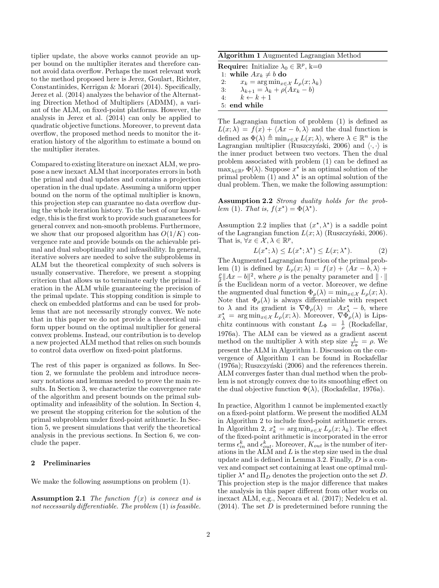tiplier update, the above works cannot provide an upper bound on the multiplier iterates and therefore cannot avoid data overflow. Perhaps the most relevant work to the method proposed here is Jerez, Goulart, Richter, Constantinides, Kerrigan & Morari (2014). Specifically, Jerez et al. (2014) analyzes the behavior of the Alternating Direction Method of Multipliers (ADMM), a variant of the ALM, on fixed-point platforms. However, the analysis in Jerez et al. (2014) can only be applied to quadratic objective functions. Moreover, to prevent data overflow, the proposed method needs to monitor the iteration history of the algorithm to estimate a bound on the multiplier iterates.

Compared to existing literature on inexact ALM, we propose a new inexact ALM that incorporates errors in both the primal and dual updates and contains a projection operation in the dual update. Assuming a uniform upper bound on the norm of the optimal multiplier is known, this projection step can guarantee no data overflow during the whole iteration history. To the best of our knowledge, this is the first work to provide such guaranetees for general convex and non-smooth problems. Furthermore, we show that our proposed algorithm has  $O(1/K)$  convergence rate and provide bounds on the achievable primal and dual suboptimality and infeasibility. In general, iterative solvers are needed to solve the subproblems in ALM but the theoretical complexity of such solvers is usually conservative. Therefore, we present a stopping criterion that allows us to terminate early the primal iteration in the ALM while guaranteeing the precision of the primal update. This stopping condition is simple to check on embedded platforms and can be used for problems that are not necessarily strongly convex. We note that in this paper we do not provide a theoretical uniform upper bound on the optimal multiplier for general convex problems. Instead, our contribution is to develop a new projected ALM method that relies on such bounds to control data overflow on fixed-point platforms.

The rest of this paper is organized as follows. In Section 2, we formulate the problem and introduce necessary notations and lemmas needed to prove the main results. In Section 3, we characterize the convergence rate of the algorithm and present bounds on the primal suboptimality and infeasiblity of the solution. In Section 4, we present the stopping criterion for the solution of the primal subproblem under fixed-point arithmetic. In Section 5, we present simulations that verify the theoretical analysis in the previous sections. In Section 6, we conclude the paper.

# 2 Preliminaries

We make the following assumptions on problem (1).

**Assumption 2.1** The function  $f(x)$  is convex and is not necessarily differentiable. The problem (1) is feasible.

|--|

**Require:** Initialize  $\lambda_0 \in \mathbb{R}^p$ , k=0 1: while  $Ax_k \neq b$  do<br>2:  $x_k = \arg \min_{x \in \mathbb{R}}$ 2:  $x_k = \arg \min_{x \in \mathcal{X}} L_\rho(x; \lambda_k)$ 3:  $\lambda_{k+1} = \lambda_k + \rho(Ax_k - b)$ 4:  $k \leftarrow k + 1$ 5: end while

The Lagrangian function of problem (1) is defined as  $L(x; \lambda) = f(x) + \langle Ax - b, \lambda \rangle$  and the dual function is defined as  $\Phi(\lambda) \triangleq \min_{x \in \mathcal{X}} L(x; \lambda)$ , where  $\lambda \in \mathbb{R}^n$  is the Lagrangian multiplier (Ruszczyński, 2006) and  $\langle \cdot, \cdot \rangle$  is the inner product between two vectors. Then the dual problem associated with problem (1) can be defined as  $\max_{\lambda \in \mathbb{R}^p} \Phi(\lambda)$ . Suppose  $x^*$  is an optimal solution of the primal problem (1) and  $\lambda^*$  is an optimal solution of the dual problem. Then, we make the following assumption:

Assumption 2.2 Strong duality holds for the problem (1). That is,  $f(x^*) = \Phi(\lambda^*)$ .

Assumption 2.2 implies that  $(x^*, \lambda^*)$  is a saddle point of the Lagrangian function  $L(x; \lambda)$  (Ruszczyński, 2006). That is,  $\forall x \in \mathcal{X}, \lambda \in \mathbb{R}^p$ ,

$$
L(x^*; \lambda) \le L(x^*; \lambda^*) \le L(x; \lambda^*). \tag{2}
$$

The Augmented Lagrangian function of the primal problem (1) is defined by  $L_{\rho}(x; \lambda) = f(x) + \langle Ax - b, \lambda \rangle +$  $\frac{\rho}{2}||Ax - b||^2$ , where  $\rho$  is the penalty parameter and  $|| \cdot ||$ is the Euclidean norm of a vector. Moreover, we define the augmented dual function  $\Phi_{\rho}(\lambda) = \min_{x \in \mathcal{X}} L_{\rho}(x; \lambda)$ . Note that  $\Phi_{\rho}(\lambda)$  is always differentiable with respect to  $\lambda$  and its gradient is  $\nabla \Phi_{\rho}(\lambda) = Ax_{\lambda}^* - b$ , where  $x_{\lambda}^* = \arg \min_{x \in \mathcal{X}} L_{\rho}(x; \lambda)$ . Moreover,  $\nabla \Phi_{\rho}(\lambda)$  is Lipschitz continuous with constant  $L_{\Phi} = \frac{1}{\rho}$  (Rockafellar, 1976a). The ALM can be viewed as a gradient ascent method on the multiplier  $\lambda$  with step size  $\frac{1}{L_{\Phi}} = \rho$ . We present the ALM in Algorithm 1. Discussion on the convergence of Algorithm 1 can be found in Rockafellar  $(1976a)$ ; Ruszczyński  $(2006)$  and the references therein. ALM converges faster than dual method when the problem is not strongly convex due to its smoothing effect on the dual objective function  $\Phi(\lambda)$ , (Rockafellar, 1976a).

In practice, Algorithm 1 cannot be implemented exactly on a fixed-point platform. We present the modified ALM in Algorithm 2 to include fixed-point arithmetic errors. In Algorithm 2,  $x_k^* = \arg \min_{x \in \mathcal{X}} L_\rho(x; \lambda_k)$ . The effect of the fixed-point arithmetic is incorporated in the error terms  $\epsilon_{in}^k$  and  $\epsilon_{out}^k$ . Moreover,  $K_{out}$  is the number of iterations in the  $ALM$  and  $L$  is the step size used in the dual update and is defined in Lemma 3.2. Finally, D is a convex and compact set containing at least one optimal multiplier  $\lambda^*$  and  $\Pi_D$  denotes the projection onto the set D. This projection step is the major difference that makes the analysis in this paper different from other works on inexact ALM, e.g., Necoara et al. (2017); Nedelcu et al.  $(2014)$ . The set D is predetermined before running the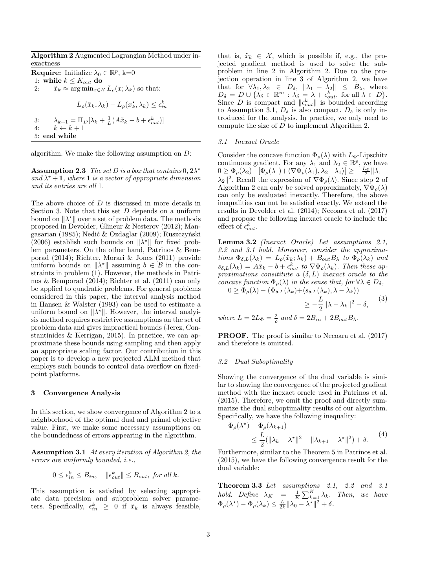Algorithm 2 Augmented Lagrangian Method under inexactness

**Require:** Initialize  $\lambda_0 \in \mathbb{R}^p$ , k=0 1: while  $k \leq K_{out}$  do 2:  $\tilde{x}_k \approx \arg \min_{x \in \mathcal{X}} L_\rho(x; \lambda_k)$  so that:  $L_{\rho}(\tilde{x}_k, \lambda_k) - L_{\rho}(x_k^{\star}, \lambda_k) \leq \epsilon_{in}^k$ 3:  $\lambda_{k+1} = \Pi_D[\lambda_k + \frac{1}{L}(A\tilde{x}_k - b + \epsilon_{out}^k)]$ 4:  $k \leftarrow k + 1$ 5: end while

algorithm. We make the following assumption on D:

**Assumption 2.3** The set D is a box that contains  $0, 2\lambda^*$ and  $\lambda^*$  + 1, where 1 is a vector of appropriate dimension and its entries are all 1.

The above choice of D is discussed in more details in Section 3. Note that this set  $D$  depends on a uniform bound on  $\|\lambda^*\|$  over a set of problem data. The methods proposed in Devolder, Glineur & Nesterov (2012); Mangasarian (1985); Nedić & Ozdaglar (2009); Ruszczyński (2006) establish such bounds on  $\|\lambda^*\|$  for fixed problem parameters. On the other hand, Patrinos & Bemporad (2014); Richter, Morari & Jones (2011) provide uniform bounds on  $\|\lambda^*\|$  assuming  $b \in \mathcal{B}$  in the constraints in problem  $(1)$ . However, the methods in Patrinos & Bemporad (2014); Richter et al. (2011) can only be applied to quadratic problems. For general problems considered in this paper, the interval analysis method in Hansen & Walster (1993) can be used to estimate a uniform bound on  $\|\lambda^*\|$ . However, the interval analyisis method requires restrictive assumptions on the set of problem data and gives impractical bounds (Jerez, Constantinides & Kerrigan, 2015). In practice, we can approximate these bounds using sampling and then apply an appropriate scaling factor. Our contribution in this paper is to develop a new projected ALM method that employs such bounds to control data overflow on fixedpoint platforms.

#### 3 Convergence Analysis

In this section, we show convergence of Algorithm 2 to a neighborhood of the optimal dual and primal objective value. First, we make some necessary assumptions on the boundedness of errors appearing in the algorithm.

Assumption 3.1 At every iteration of Algorithm 2, the errors are uniformly bounded, i.e.,

$$
0 \le \epsilon_{in}^k \le B_{in}, \quad \|\epsilon_{out}^k\| \le B_{out}, \text{ for all } k.
$$

This assumption is satisfied by selecting appropriate data precision and subproblem solver parameters. Specifically,  $\epsilon_{in}^k \geq 0$  if  $\tilde{x}_k$  is always feasible, that is,  $\tilde{x}_k \in \mathcal{X}$ , which is possible if, e.g., the projected gradient method is used to solve the subproblem in line 2 in Algorithm 2. Due to the projection operation in line 3 of Algorithm 2, we have that for  $\forall \lambda_1, \lambda_2 \in D_\delta$ ,  $\|\lambda_1 - \lambda_2\| \leq B_\lambda$ , where  $D_{\delta} = D \cup \{ \lambda_{\delta} \in \mathbb{R}^m : \lambda_{\delta} = \lambda + \epsilon_{out}^k$ , for all  $\lambda \in D \}.$ Since D is compact and  $||\epsilon_{out}^k||$  is bounded according to Assumption 3.1,  $D_{\delta}$  is also compact.  $D_{\delta}$  is only introduced for the analysis. In practice, we only need to compute the size of D to implement Algorithm 2.

#### 3.1 Inexact Oracle

Consider the concave function  $\Phi_{\rho}(\lambda)$  with  $L_{\Phi}$ -Lipschitz continuous gradient. For any  $\lambda_1$  and  $\lambda_2 \in \mathbb{R}^p$ , we have  $0 \ge \Phi_{\rho}(\lambda_2) - [\Phi_{\rho}(\lambda_1) + \langle \nabla \Phi_{\rho}(\lambda_1), \lambda_2 - \lambda_1 \rangle] \ge -\frac{L_{\Phi}}{2} \|\lambda_1 - \lambda_2\|$  $\lambda_2$ <sup>2</sup>. Recall the expression of  $\nabla \Phi_{\rho}(\lambda)$ . Since step 2 of Algorithm 2 can only be solved approximately,  $\nabla \Phi_{\rho}(\lambda)$ can only be evaluated inexactly. Therefore, the above inequalities can not be satisfied exactly. We extend the results in Devolder et al. (2014); Necoara et al. (2017) and propose the following inexact oracle to include the effect of  $\epsilon_{out}^k$ .

**Lemma 3.2** (Inexact Oracle) Let assumptions 2.1, 2.2 and 3.1 hold. Moreover, consider the approximations  $\Phi_{\delta,L}(\lambda_k) = L_\rho(\tilde{x}_k; \lambda_k) + B_{out}B_\lambda$  to  $\Phi_\rho(\lambda_k)$  and  $s_{\delta,L}(\lambda_k) = A\tilde{x}_k - b + \epsilon_{out}^k$  to  $\nabla \Phi_{\rho}(\lambda_k)$ . Then these approximations consititute a  $(\delta, L)$  inexact oracle to the concave function  $\Phi_{\rho}(\lambda)$  in the sense that, for  $\forall \lambda \in D_{\delta}$ ,

 $0 \geq \Phi_{\rho}(\lambda) - (\Phi_{\delta,L}(\lambda_k) + \langle s_{\delta,L}(\lambda_k), \lambda - \lambda_k \rangle)$ 

$$
\geq -\frac{L}{2} \|\lambda - \lambda_k\|^2 - \delta, \qquad (3)
$$

where  $L = 2L_{\Phi} = \frac{2}{\rho}$  and  $\delta = 2B_{in} + 2B_{out}B_{\lambda}$ .

PROOF. The proof is similar to Necoara et al. (2017) and therefore is omitted.

# 3.2 Dual Suboptimality

Showing the convergence of the dual variable is similar to showing the convergence of the projected gradient method with the inexact oracle used in Patrinos et al. (2015). Therefore, we omit the proof and directly summarize the dual suboptimality results of our algorithm. Specifically, we have the following inequality:

$$
\Phi_{\rho}(\lambda^*) - \Phi_{\rho}(\lambda_{k+1})
$$
\n
$$
\leq \frac{L}{2} (\|\lambda_k - \lambda^*\|^2 - \|\lambda_{k+1} - \lambda^*\|^2) + \delta. \tag{4}
$$

Furthermore, similar to the Theorem 5 in Patrinos et al. (2015), we have the following convergence result for the dual variable:

Theorem 3.3 Let assumptions 2.1, 2.2 and 3.1 hold. Define  $\bar{\lambda}_K = \frac{1}{K} \sum_{k=1}^K \lambda_k$ . Then, we have  $\Phi_{\rho}(\lambda^{\star}) - \Phi_{\rho}(\bar{\lambda}_k) \leq \frac{L}{2k} \|\lambda_0 - \lambda^{\star}\|^2 + \delta.$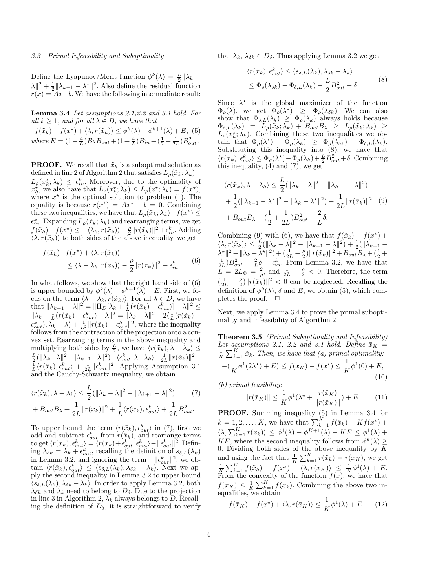#### 3.3 Primal Infeasibility and Suboptimality

Define the Lyapunov/Merit function  $\phi^k(\lambda) = \frac{L}{2} || \lambda_k \lambda \leq \frac{1}{2} \|\lambda_{k-1} - \lambda^{\star}\|^2$ . Also define the residual function  $r(x) = Ax-b$ . We have the following intermediate result:

Lemma 3.4 Let assumptions 2.1,2.2 and 3.1 hold. For all  $k \geq 1$ , and for all  $\lambda \in D$ , we have that  $f(\tilde{x}_k) - f(x^*) + \langle \lambda, r(\tilde{x}_k) \rangle \leq \phi^k(\lambda) - \phi^{k+1}(\lambda) + E$ , (5) where  $E = (1 + \frac{4}{L})B_{\lambda}B_{out} + (1 + \frac{4}{L})B_{in} + (\frac{1}{2} + \frac{1}{2L})B_{out}^2$ .

**PROOF.** We recall that  $\tilde{x}_k$  is a suboptimal solution as defined in line 2 of Algorithm 2 that satisfies  $L_{\rho}(\tilde{x}_k; \lambda_k) L_{\rho}(x_k^{\star}; \lambda_k) \leq \epsilon_m^k$ . Moreover, due to the optimality of  $x_k^{\star}$ , we also have that  $L_\rho(x_k^{\star}; \lambda_k) \leq L_\rho(x^{\star}; \lambda_k) = f(x^{\star}),$ where  $x^*$  is the optimal solution to problem (1). The equality is because  $r(x^*) = Ax^* - b = 0$ . Combining these two inequalities, we have that  $L_{\rho}(\tilde{x}_k; \lambda_k) - f(x^*) \leq$  $\epsilon_{in}^k$ . Expanding  $L_\rho(\tilde{x}_k; \lambda_k)$  and rearranging terms, we get  $f(\tilde{x}_k) - f(x^*) \le -\langle \lambda_k, r(\tilde{x}_k) \rangle - \frac{\rho}{2} ||r(\tilde{x}_k)||^2 + \epsilon_{in}^k$ . Adding  $\langle \lambda, r(\tilde{x}_k) \rangle$  to both sides of the above inequality, we get

$$
f(\tilde{x}_k) - f(x^*) + \langle \lambda, r(\tilde{x}_k) \rangle
$$
  
\$\leq \langle \lambda - \lambda\_k, r(\tilde{x}\_k) \rangle - \frac{\rho}{2} ||r(\tilde{x}\_k)||^2 + \epsilon\_{in}^k\$. (6)

In what follows, we show that the right hand side of (6) is upper bounded by  $\phi^k(\lambda) - \phi^{k+1}(\lambda) + E$ . First, we focus on the term  $\langle \lambda - \lambda_k, r(\tilde{x}_k) \rangle$ . For all  $\lambda \in D$ , we have that  $\|\lambda_{k+1} - \lambda\|^2 = \|\Pi_D[\lambda_k + \frac{1}{L}(r(\tilde{x}_k) + \epsilon_{out}^k)] - \lambda\|^2 \le$  $\|\lambda_k + \frac{1}{L}(r(\tilde{x}_k) + \epsilon_{out}^k) - \lambda\|^2 = \|\lambda_k - \lambda\|^2 + 2\langle \frac{1}{L}(r(\tilde{x}_k) +$  $\epsilon_{out}^k$ ,  $\lambda_k - \lambda$  +  $\frac{1}{L^2} ||r(\tilde{x}_k) + \epsilon_{out}^k||^2$ , where the inequality follows from the contraction of the projection onto a convex set. Rearranging terms in the above inequality and multiplying both sides by  $\frac{L}{2}$ , we have  $\langle r(\tilde{x}_k), \lambda - \lambda_k \rangle \leq$  $\frac{L}{2}(\|\lambda_k-\lambda\|^2-\|\lambda_{k+1}-\lambda\|^2)-\langle\epsilon_{out}^k,\lambda-\lambda_k\rangle+\frac{1}{2L}\|r(\tilde{x}_k)\|^2+$  $\frac{1}{L}\langle r(\tilde{x}_k), \epsilon_{out}^k \rangle + \frac{1}{2L} \|\epsilon_{out}^k\|^2$ . Applying Assumption 3.1 and the Cauchy-Schwartz inequality, we obtain

$$
\langle r(\tilde{x}_k), \lambda - \lambda_k \rangle \le \frac{L}{2} (\|\lambda_k - \lambda\|^2 - \|\lambda_{k+1} - \lambda\|^2) \tag{7}
$$

$$
+ B_{out} B_{\lambda} + \frac{1}{2L} \|r(\tilde{x}_k)\|^2 + \frac{1}{L} \langle r(\tilde{x}_k), \epsilon_{out}^k \rangle + \frac{1}{2L} B_{out}^2.
$$

To upper bound the term  $\langle r(\tilde{x}_k), \epsilon_{out}^k \rangle$  in (7), first we add and subtract  $\epsilon_{out}^k$  from  $r(\tilde{x}_k)$ , and rearrange terms to get  $\langle r(\tilde{x}_k), \epsilon_{out}^k \rangle = \langle r(\tilde{x}_k) + \epsilon_{out}^k, \epsilon_{out}^k \rangle - \| \epsilon_{out}^k \|^2$ . Defining  $\lambda_{\delta k} = \lambda_k + \epsilon_{out}^k$ , recalling the definition of  $s_{\delta,L}(\lambda_k)$ in Lemma 3.2, and ignoring the term  $-\|\epsilon_{out}^k\|^2$ , we obtain  $\langle r(\tilde{x}_k), \epsilon_{out}^k \rangle \leq \langle s_{\delta,L}(\lambda_k), \lambda_{\delta k} - \lambda_k \rangle$ . Next we apply the second inequality in Lemma 3.2 to upper bound  $\langle s_{\delta,L}(\lambda_k), \lambda_{\delta k} - \lambda_k \rangle$ . In order to apply Lemma 3.2, both  $\lambda_{\delta k}$  and  $\lambda_k$  need to belong to  $D_{\delta}$ . Due to the projection in line 3 in Algorithm 2,  $\lambda_k$  always belongs to D. Recalling the definition of  $D_{\delta}$ , it is straightforward to verify

that  $\lambda_k, \lambda_{\delta k} \in D_{\delta}$ . Thus applying Lemma 3.2 we get

$$
\langle r(\tilde{x}_k), \epsilon_{out}^k \rangle \le \langle s_{\delta, L}(\lambda_k), \lambda_{\delta k} - \lambda_k \rangle
$$
  
 
$$
\le \Phi_\rho(\lambda_{\delta k}) - \Phi_{\delta, L}(\lambda_k) + \frac{L}{2} B_{out}^2 + \delta.
$$
 (8)

Since  $\lambda^*$  is the global maximizer of the function  $\Phi_{\rho}(\lambda)$ , we get  $\Phi_{\rho}(\lambda^{\star}) \geq \Phi_{\rho}(\lambda_{\delta k})$ . We can also show that  $\Phi_{\delta,L}(\lambda_k) \geq \Phi_{\rho}(\lambda_k)$  always holds because  $\Phi_{\delta,L}(\lambda_k) = L_\rho(\tilde{x}_k; \lambda_k) + B_{out}B_\lambda \geq L_\rho(\tilde{x}_k; \lambda_k) \geq$  $L_{\rho}(x_k^{\star}; \lambda_k)$ . Combining these two inequalities we obtain that  $\Phi_{\rho}(\lambda^*) - \bar{\Phi}_{\rho}(\lambda_k) \geq \Phi_{\rho}(\lambda_{\delta k}) - \Phi_{\delta,L}(\lambda_k).$ Substituting this inequality into  $(8)$ , we have that  $\langle r(\tilde{x}_k), \epsilon_{out}^k \rangle \leq \Phi_{\rho}(\lambda^*) - \Phi_{\rho}(\lambda_k) + \frac{L}{2}B_{out}^2 + \delta.$  Combining this inequality, (4) and (7), we get

$$
\langle r(\tilde{x}_k), \lambda - \lambda_k \rangle \le \frac{L}{2} (\|\lambda_k - \lambda\|^2 - \|\lambda_{k+1} - \lambda\|^2) + \frac{1}{2} (\|\lambda_{k-1} - \lambda^{\star}\|^2 - \|\lambda_k - \lambda^{\star}\|^2) + \frac{1}{2L} \|r(\tilde{x}_k)\|^2 \quad (9) + B_{out} B_{\lambda} + (\frac{1}{2} + \frac{1}{2L}) B_{out}^2 + \frac{2}{L} \delta.
$$

Combining (9) with (6), we have that  $f(\tilde{x}_k) - f(x^*)$  +  $\langle \lambda, r(\tilde{x}_k) \rangle \leq \frac{L}{2} (\|\lambda_k - \lambda\|^2 - \|\lambda_{k+1} - \lambda\|^2) + \frac{1}{2} (\|\lambda_{k-1} - \lambda\|^2)$  $\lambda^* \| ^2 - \| \lambda_k - \bar{\lambda}^* \|^2 + (\frac{1}{2L} - \frac{\rho}{2}) \| r(\tilde{x}_k) \|^2 + B_{out} B_{\lambda} + (\frac{1}{2} + \frac{1}{2L}) B_{out}^2 + \frac{2}{L} \delta + \epsilon_{in}^k$ . From Lemma 3.2, we have that  $\overline{L} = 2L_{\Phi} = \frac{2}{\rho}$ , and  $\frac{1}{2L} - \frac{\rho}{2} < 0$ . Therefore, the term  $\left(\frac{1}{2L} - \frac{\rho}{2}\right) ||r(\tilde{x}_k)||^2 < 0$  can be neglected. Recalling the definition of  $\phi^k(\lambda)$ ,  $\delta$  and E, we obtain (5), which completes the proof.  $\square$ 

Next, we apply Lemma 3.4 to prove the primal suboptimality and infeasibility of Algorithm 2.

Theorem 3.5 (Primal Suboptimality and Infeasibility) Let assumptions 2.1, 2.2 and 3.1 hold. Define  $\bar{x}_K =$  $\frac{1}{K}\sum_{k=1}^{K} \tilde{x}_k$ . Then, we have that (a) primal optimality:  $-\left(\frac{1}{\tau}\right)$  $\frac{1}{K}\phi^1(2\lambda^*)+E \leq f(\bar{x}_K) - f(x^*) \leq \frac{1}{K}$  $\frac{1}{K}\phi^1(0) + E,$ (10)

(b) primal feasibility:

$$
||r(\bar{x}_K)|| \le \frac{1}{K} \phi^1(\lambda^* + \frac{r(\bar{x}_K)}{||r(\bar{x}_K)||}) + E.
$$
 (11)

PROOF. Summing inequality (5) in Lemma 3.4 for  $k = 1, 2, ..., K$ , we have that  $\sum_{k=1}^{K} f(\tilde{x}_k) - Kf(x^*)$  +  $\langle \lambda, \sum_{k=1}^K r(\tilde{x}_k) \rangle \leq \phi^1(\lambda) - \phi^{K+1}(\lambda) + KE \leq \phi^1(\lambda) +$ KE, where the second inequality follows from  $\phi^k(\lambda) \geq$ 0. Dividing both sides of the above inequality by  $K$ and using the fact that  $\frac{1}{K} \sum_{k=1}^{K} r(\tilde{x}_k) = r(\bar{x}_K)$ , we get  $\frac{1}{K} \sum_{k=1}^{K} f(\tilde{x}_k) - f(x^*) + \langle \lambda, r(\bar{x}_K) \rangle \leq \frac{1}{K} \phi^1(\lambda) + E$ . From the convexity of the function  $f(x)$ , we have that  $f(\bar{x}_K) \leq \frac{1}{K} \sum_{k=1}^K f(\tilde{x}_k)$ . Combining the above two inequalities, we obtain

$$
f(\bar{x}_K) - f(x^*) + \langle \lambda, r(\bar{x}_K) \rangle \le \frac{1}{K} \phi^1(\lambda) + E. \tag{12}
$$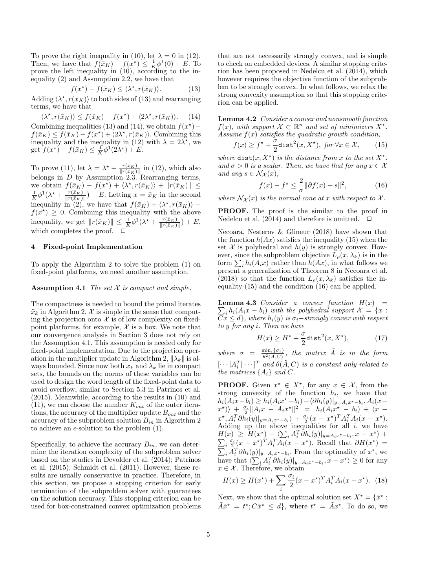To prove the right inequality in (10), let  $\lambda = 0$  in (12). Then, we have that  $f(\bar{x}_K) - f(x^*) \leq \frac{1}{K} \phi^1(0) + E$ . To prove the left inequality in (10), according to the inequality (2) and Assumption 2.2, we have that

$$
f(x^*) - f(\bar{x}_K) \le \langle \lambda^*, r(\bar{x}_K) \rangle.
$$
 (13)

Adding  $\langle \lambda^*, r(\bar{x}_K) \rangle$  to both sides of (13) and rearranging terms, we have that

 $\langle \lambda^*, r(\bar{x}_K) \rangle \le f(\bar{x}_K) - f(x^*) + \langle 2\lambda^*, r(\bar{x}_K) \rangle.$  (14) Combining inequalities (13) and (14), we obtain  $f(x^*)$  –  $f(\bar{x}_K) \leq f(\bar{x}_K) - f(x^*) + \langle 2\lambda^*, r(\bar{x}_K) \rangle$ . Combining this inequality and the inequality in (12) with  $\lambda = 2\lambda^*$ , we get  $f(x^*) - f(\bar{x}_K) \leq \frac{1}{K} \phi^1(2\lambda^*) + E.$ 

To prove (11), let  $\lambda = \lambda^* + \frac{r(\bar{x}_K)}{\ln(\bar{x}_K)}$  $\frac{r(x_K)}{\|r(\bar{x}_K)\|}$  in (12), which also belongs in  $D$  by Assumption 2.3. Rearranging terms, we obtain  $f(\bar{x}_K) - f(x^*) + \langle \lambda^*, r(\bar{x}_K) \rangle + ||r(\bar{x}_K)|| \leq$  $\frac{1}{K}\phi^1(\lambda^{\star} + \frac{r(\bar{x}_K)}{\|r(\bar{x}_K)}$  $\frac{r(x_K)}{\|r(\bar{x}_K)\|}$  + E. Letting  $x = \bar{x}_K$  in the second inequality in (2), we have that  $f(\bar{x}_K) + \langle \lambda^*, r(\bar{x}_K) \rangle$  –  $f(x^*) \geq 0$ . Combining this inequality with the above inequality, we get  $||r(\bar{x}_K)|| \leq \frac{1}{K} \phi^1(\lambda^* + \frac{r(\bar{x}_K)}{||r(\bar{x}_K)||})$  $\frac{r(x_K)}{\|r(\bar{x}_K)\|}$  + E, which completes the proof.  $\Box$ 

# 4 Fixed-point Implementation

To apply the Algorithm 2 to solve the problem (1) on fixed-point platforms, we need another assumption.

#### Assumption 4.1 The set  $X$  is compact and simple.

The compactness is needed to bound the primal iterates  $\tilde{x}_k$  in Algorithm 2. X is simple in the sense that computing the projection onto  $\mathcal X$  is of low complexity on fixedpoint platforms, for example,  $\mathcal X$  is a box. We note that our convergence analysis in Section 3 does not rely on the Assumption 4.1. This assumption is needed only for fixed-point implementation. Due to the projection operation in the multiplier update in Algorithm 2,  $\|\lambda_k\|$  is always bounded. Since now both  $x_k$  and  $\lambda_k$  lie in compact sets, the bounds on the norms of these variables can be used to design the word length of the fixed-point data to avoid overflow, similar to Section 5.3 in Patrinos et al. (2015). Meanwhile, according to the results in (10) and  $(11)$ , we can choose the number  $K_{out}$  of the outer iterations, the accuracy of the multiplier update  $B_{out}$  and the accuracy of the subproblem solution  $B_{in}$  in Algorithm 2 to achieve an  $\epsilon$ -solution to the problem (1).

Specifically, to achieve the accuracy  $B_{in}$ , we can determine the iteration complexity of the subproblem solver based on the studies in Devolder et al. (2014); Patrinos et al. (2015); Schmidt et al. (2011). However, these results are usually conservative in practice. Therefore, in this section, we propose a stopping criterion for early termination of the subproblem solver with guarantees on the solution accuracy. This stopping criterion can be used for box-constrained convex optimization problems

that are not necessarily strongly convex, and is simple to check on embedded devices. A similar stopping criterion has been proposed in Nedelcu et al. (2014), which however requires the objective function of the subproblem to be strongly convex. In what follows, we relax the strong convexity assumption so that this stopping criterion can be applied.

Lemma 4.2 Consider a convex and nonsmooth function  $f(x)$ , with support  $\mathcal{X} \subset \mathbb{R}^n$  and set of minimizers  $X^*$ . Assume  $f(x)$  satisfies the quadratic growth condition,

$$
f(x) \ge f^* + \frac{\sigma}{2} \text{dist}^2(x, X^*), \text{ for } \forall x \in \mathcal{X}, \qquad (15)
$$

where  $dist(x, X^*)$  is the distance from x to the set  $X^*$ . and  $\sigma > 0$  is a scalar. Then, we have that for any  $x \in \mathcal{X}$ and any  $s \in \mathcal{N}_{\mathcal{X}}(x)$ ,

$$
f(x) - f^* \le \frac{2}{\sigma} \|\partial f(x) + s\|^2, \tag{16}
$$

where  $\mathcal{N}_{\mathcal{X}}(x)$  is the normal cone at x with respect to X.

PROOF. The proof is the similar to the proof in Nedelcu et al.  $(2014)$  and therefore is omitted.

Necoara, Nesterov & Glineur (2018) have shown that the function  $h(Ax)$  satisfies the inequality (15) when the set  $X$  is polyhedral and  $h(y)$  is strongly convex. However, since the subproblem objective  $L_{\rho}(x, \lambda_k)$  is in the form  $\sum_i h_i(A_i x)$  rather than  $h(Ax)$ , in what follows we present a generalization of Theorem 8 in Necoara et al. (2018) so that the function  $L_{\rho}(x,\lambda_k)$  satisfies the inequality (15) and the condition (16) can be applied.

**Lemma 4.3** Consider a convex function  $H(x) =$  $\sum_i h_i(A_ix - b_i)$  with the polyhedral support  $\mathcal{X} = \{x :$  $\overline{Cx} \le d$ , where  $h_i(y)$  is  $\sigma_i$ −strongly convex with respect to y for any i. Then we have

$$
H(x) \ge H^{\star} + \frac{\sigma}{2} \text{dist}^{2}(x, X^{\star}), \tag{17}
$$

where  $\sigma = \frac{\min_i {\{\sigma_i\}}}{2^2 (\tilde{A}, C)}$  $\frac{\min_i \{\sigma_i\}}{\theta^2(\tilde{A},C)},$  the matrix  $\tilde{A}$  is in the form  $\left[\cdots | A_i^T| \cdots \right]^T$  and  $\theta(\tilde{A}, C)$  is a constant only related to the matrices  $\{A_i\}$  and C.

**PROOF.** Given  $x^* \in X^*$ , for any  $x \in \mathcal{X}$ , from the strong convexity of the function  $h_i$ , we have that  $h_i(A_ix - b_i) \ge h_i(A_ix^* - b_i) + \langle \partial h_i(y)|_{y = A_ix^* - b_i}, A_i(x - b_i) \rangle$  $\langle x^* \rangle$  +  $\frac{\sigma_i}{2} \| A_i x - A_i x^* \|^2 = h_i (A_i x^* - b_i) + \langle x - a_i^* \rangle$  $x^{\star}, A_i^T \partial h_i(y)|_{y = A_i x^{\star} - b_i} + \frac{\sigma_i}{2} (x - x^{\star})^T A_i^T A_i (x - x^{\star}).$ Adding up the above inequalities for all  $i$ , we have  $H(x) \geq H(x^{\star}) + \sum_{i} A_i^T \partial h_i(y)|_{y=A_i x^{\star}-b_i}, x-x^{\star}$  $\sum$  $\rangle +$  $\frac{\partial^2 u}{\partial x^2}(x-x^*)^T A_i^T A_i(x-x^*)$ . Recall that  $\partial H(x^*) =$  $\sum_i A_i^T \partial h_i(y)|_{y=\underline{A}_i x^* - b_i}$ . From the optimality of  $x^*$ , we have that  $\langle \sum_i A_i^T \partial h_i(y)|_{y=A_ix^*-b_i}, x-x^* \rangle \geq 0$  for any  $x \in \mathcal{X}$ . Therefore, we obtain

$$
H(x) \ge H(x^*) + \sum_{i} \frac{\sigma_i}{2} (x - x^*)^T A_i^T A_i (x - x^*). \tag{18}
$$

Next, we show that the optimal solution set  $X^* = \{x^* :$  $\tilde{A}\tilde{x}^{\star} = t^{\star}; C\tilde{x}^{\star} \leq d$ , where  $t^{\star} = \tilde{A}x^{\star}$ . To do so, we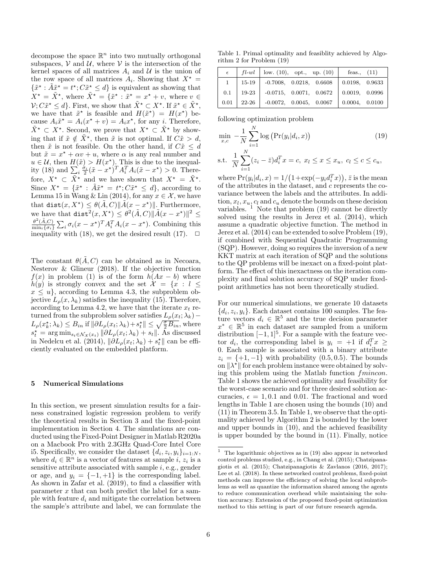decompose the space  $\mathbb{R}^n$  into two mutually orthogonal subspaces,  $V$  and  $U$ , where  $V$  is the intersection of the kernel spaces of all matrices  $A_i$  and  $U$  is the union of the row space of all matrices  $A_i$ . Showing that  $X^* =$  $\{\tilde{x}^\star : \tilde{A}\tilde{x}^\star = t^\star; C\tilde{x}^\star \leq d\}$  is equivalent as showing that  $X^* = \tilde{X}^*$ , where  $\tilde{X}^* = \{\tilde{x}^* : \tilde{x}^* = x^* + v$ , where  $v \in$  $\mathcal{V}; C\tilde{x}^{\star} \leq d$ . First, we show that  $\tilde{X}^{\star} \subset X^{\star}$ . If  $\tilde{x}^{\star} \in \tilde{X}^{\star}$ , we have that  $\tilde{x}^*$  is feasible and  $H(\tilde{x}^*) = H(x^*)$  because  $A_i \tilde{x}^* = A_i(x^* + v) = A_i x^*$ , for any *i*. Therefore,  $\tilde{X}^{\star} \subset X^{\star}$ . Second, we prove that  $X^{\star} \subset \tilde{X}^{\star}$  by showing that if  $\tilde{x} \notin \tilde{X}^*$ , then  $\tilde{x}$  is not optimal. If  $C\tilde{x} > d$ , then  $\tilde{x}$  is not feasible. On the other hand, if  $C\tilde{x} \leq d$ but  $\tilde{x} = x^* + \alpha v + u$ , where  $\alpha$  is any real number and  $u \in \mathcal{U}$ , then  $H(\tilde{x}) > H(x^*)$ . This is due to the inequality (18) and  $\sum_{i} \frac{\sigma_i}{2} (\tilde{x} - x^*)^T A_i^T A_i (\tilde{x} - x^*) > 0$ . Therefore,  $X^* \subset \tilde{X}^*$  and we have shown that  $X^* = \tilde{X}^*$ . Since  $X^* = \{\tilde{x}^* : \tilde{A}\tilde{x}^* = t^*; C\tilde{x}^* \leq d\}$ , according to Lemma 15 in Wang & Lin (2014), for any  $x \in \mathcal{X}$ , we have that dist $(x, X^{\star}) \leq \theta(\tilde{A}, C) ||\tilde{A}(x - x^{\star})||$ . Furthermore, we have that  $\text{dist}^2(x, X^*) \leq \theta^2(\tilde{A}, C) \|\tilde{A}(x - x^*)\|^2 \leq$  $\theta^2(\tilde{A},C)$  $\frac{\theta^2(A,C)}{\min_i\{\sigma_i\}}\sum_i \sigma_i(x-x^{\star})^T A_i^T A_i(x-x^{\star}).$  Combining this inequality with (18), we get the desired result (17).  $\Box$ 

The constant  $\theta(\tilde{A}, C)$  can be obtained as in Necoara, Nesterov & Glineur (2018). If the objective function  $f(x)$  in problem (1) is of the form  $h(Ax - b)$  where  $h(y)$  is strongly convex and the set  $\mathcal{X} = \{x : l \leq$  $x \leq u$ , according to Lemma 4.3, the subproblem objective  $L_{\rho}(x, \lambda_k)$  satisfies the inequality (15). Therefore, according to Lemma 4.2, we have that the iterate  $x_t$  returned from the subproblem solver satisfies  $L_{\rho}(x_t; \lambda_k)$  –  $L_{\rho}(x_k^{\star}; \lambda_k) \leq B_{in}$  if  $\|\partial L_{\rho}(x_t; \lambda_k) + s_t^{\star}\| \leq \sqrt{\frac{\sigma}{2} B_{in}}$ , where  $s_t^* = \arg \min_{s_t \in \mathcal{N}_{\mathcal{X}}(x_t)} \|\partial L_{\rho}(x_t; \lambda_k) + s_t\|.$  As discussed in Nedelcu et al. (2014),  $\|\partial L_{\rho}(x_t; \lambda_k) + s_t^* \|$  can be efficiently evaluated on the embedded platform.

#### 5 Numerical Simulations

In this section, we present simulation results for a fairness constrained logistic regression problem to verify the theoretical results in Section 3 and the fixed-point implementation in Section 4. The simulations are conducted using the Fixed-Point Designer in Matlab R2020a on a Macbook Pro with 2.3GHz Quad-Core Intel Core i5. Specifically, we consider the dataset  $\{d_i, z_i, y_i\}_{i=1:N}$ , where  $d_i \in \mathbb{R}^n$  is a vector of features at sample i,  $z_i$  is a sensitive attribute associated with sample  $i$ , e.g., gender or age, and  $y_i = \{-1, +1\}$  is the corresponding label. As shown in Zafar et al. (2019), to find a classifier with parameter  $x$  that can both predict the label for a sample with feature  $d_i$  and mitigate the correlation between the sample's attribute and label, we can formulate the

Table 1. Primal optimality and feasiblity achieved by Algorithm 2 for Problem (19)

|          |                   | $fl$ -wl   low. (10), opt., up. (10) |  | feas., $(11)$  |  |
|----------|-------------------|--------------------------------------|--|----------------|--|
| $1 \mid$ | $15 - 19$         | $-0.7008$ , $0.0218$ , $0.6608$      |  | 0.0198, 0.9633 |  |
|          | $0.1 \quad 19-23$ | $-0.0715, 0.0071, 0.0672$            |  | 0.0019, 0.0996 |  |
| 0.01     | 22-26             | $-0.0072$ , $0.0045$ , $0.0067$      |  | 0.0004, 0.0100 |  |

following optimization problem

$$
\min_{x,c} -\frac{1}{N} \sum_{i=1}^{N} \log (Pr(y_i|d_i, x))
$$
\n
$$
\text{s.t. } \frac{1}{N} \sum_{i=1}^{N} (z_i - \bar{z}) d_i^T x = c, \ x_l \le x \le x_u, \ c_l \le c \le c_u,
$$
\n(19)

where  $Pr(y_i|d_i, x) = 1/(1 + exp(-y_i d_i^T x))$ ,  $\overline{z}$  is the mean of the attributes in the dataset, and c represents the covariance between the labels and the attributes. In addition,  $x_l, x_u, c_l$  and  $c_u$  denote the bounds on these decision variables.  $\mathbf{1}$  Note that problem (19) cannot be directly solved using the results in Jerez et al. (2014), which assume a quadratic objective function. The method in Jerez et al. (2014) can be extended to solve Problem (19), if combined with Sequential Quadratic Programming (SQP). However, doing so requires the inversion of a new KKT matrix at each iteration of SQP and the solutions to the QP problems will be inexact on a fixed-point platform. The effect of this inexactness on the iteration complexity and final solution accuracy of SQP under fixedpoint arithmetics has not been theoretically studied.

For our numerical simulations, we generate 10 datasets  $\{d_i, z_i, y_i\}$ . Each dataset contains 100 samples. The feature vectors  $d_i \in \mathbb{R}^5$  and the true decision parameter  $x^*$  ∈  $\mathbb{R}^5$  in each dataset are sampled from a uniform distribution  $[-1, 1]^5$ . For a sample with the feature vector  $d_i$ , the corresponding label is  $y_i = +1$  if  $d_i^T x \geq$ 0. Each sample is associated with a binary attribute  $z_i = \{+1, -1\}$  with probability (0.5, 0.5). The bounds on  $\|\lambda^*\|$  for each problem instance were obtained by solving this problem using the Matlab function fmincon. Table 1 shows the achieved optimality and feasibility for the worst-case scenario and for three desired solution accuracies,  $\epsilon = 1, 0.1$  and 0.01. The fractional and word lengths in Table 1 are chosen using the bounds (10) and (11) in Theorem 3.5. In Table 1, we observe that the optimality achieved by Algorithm 2 is bounded by the lower and upper bounds in (10), and the achieved feasibility is upper bounded by the bound in (11). Finally, notice

 $^{\rm 1}~$  The logarithmic objectives as in (19) also appear in networked control problems studied, e.g., in Chang et al. (2015); Chatzipanagiotis et al. (2015); Chatzipanagiotis & Zavlanos (2016, 2017); Lee et al. (2018). In these networked control problems, fixed-point methods can improve the efficiency of solving the local subproblems as well as quantize the information shared among the agents to reduce communication overhead while maintaining the solution accuracy. Extension of the proposed fixed-point optimization method to this setting is part of our future research agenda.